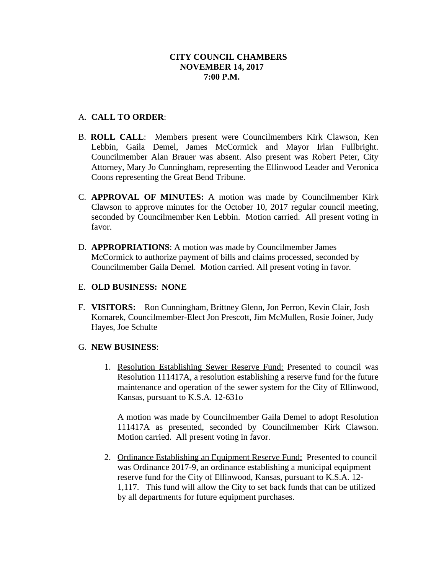## A. **CALL TO ORDER**:

- B. **ROLL CALL**: Members present were Councilmembers Kirk Clawson, Ken Lebbin, Gaila Demel, James McCormick and Mayor Irlan Fullbright. Councilmember Alan Brauer was absent. Also present was Robert Peter, City Attorney, Mary Jo Cunningham, representing the Ellinwood Leader and Veronica Coons representing the Great Bend Tribune.
- C. **APPROVAL OF MINUTES:** A motion was made by Councilmember Kirk Clawson to approve minutes for the October 10, 2017 regular council meeting, seconded by Councilmember Ken Lebbin. Motion carried. All present voting in favor.
- D. **APPROPRIATIONS**: A motion was made by Councilmember James McCormick to authorize payment of bills and claims processed, seconded by Councilmember Gaila Demel. Motion carried. All present voting in favor.

# E. **OLD BUSINESS: NONE**

F. **VISITORS:** Ron Cunningham, Brittney Glenn, Jon Perron, Kevin Clair, Josh Komarek, Councilmember-Elect Jon Prescott, Jim McMullen, Rosie Joiner, Judy Hayes, Joe Schulte

## G. **NEW BUSINESS**:

1. Resolution Establishing Sewer Reserve Fund: Presented to council was Resolution 111417A, a resolution establishing a reserve fund for the future maintenance and operation of the sewer system for the City of Ellinwood, Kansas, pursuant to K.S.A. 12-631o

A motion was made by Councilmember Gaila Demel to adopt Resolution 111417A as presented, seconded by Councilmember Kirk Clawson. Motion carried. All present voting in favor.

2. Ordinance Establishing an Equipment Reserve Fund: Presented to council was Ordinance 2017-9, an ordinance establishing a municipal equipment reserve fund for the City of Ellinwood, Kansas, pursuant to K.S.A. 12- 1,117. This fund will allow the City to set back funds that can be utilized by all departments for future equipment purchases.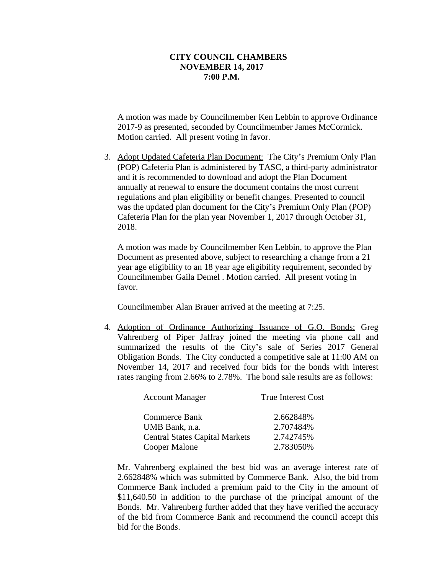A motion was made by Councilmember Ken Lebbin to approve Ordinance 2017-9 as presented, seconded by Councilmember James McCormick. Motion carried. All present voting in favor.

3. Adopt Updated Cafeteria Plan Document: The City's Premium Only Plan (POP) Cafeteria Plan is administered by TASC, a third-party administrator and it is recommended to download and adopt the Plan Document annually at renewal to ensure the document contains the most current regulations and plan eligibility or benefit changes. Presented to council was the updated plan document for the City's Premium Only Plan (POP) Cafeteria Plan for the plan year November 1, 2017 through October 31, 2018.

A motion was made by Councilmember Ken Lebbin, to approve the Plan Document as presented above, subject to researching a change from a 21 year age eligibility to an 18 year age eligibility requirement, seconded by Councilmember Gaila Demel . Motion carried. All present voting in favor.

Councilmember Alan Brauer arrived at the meeting at 7:25.

4. Adoption of Ordinance Authorizing Issuance of G.O. Bonds: Greg Vahrenberg of Piper Jaffray joined the meeting via phone call and summarized the results of the City's sale of Series 2017 General Obligation Bonds. The City conducted a competitive sale at 11:00 AM on November 14, 2017 and received four bids for the bonds with interest rates ranging from 2.66% to 2.78%. The bond sale results are as follows:

| <b>Account Manager</b>                | <b>True Interest Cost</b> |
|---------------------------------------|---------------------------|
| Commerce Bank                         | 2.662848%                 |
| UMB Bank, n.a.                        | 2.707484%                 |
| <b>Central States Capital Markets</b> | 2.742745%                 |
| Cooper Malone                         | 2.783050%                 |

Mr. Vahrenberg explained the best bid was an average interest rate of 2.662848% which was submitted by Commerce Bank. Also, the bid from Commerce Bank included a premium paid to the City in the amount of \$11,640.50 in addition to the purchase of the principal amount of the Bonds. Mr. Vahrenberg further added that they have verified the accuracy of the bid from Commerce Bank and recommend the council accept this bid for the Bonds.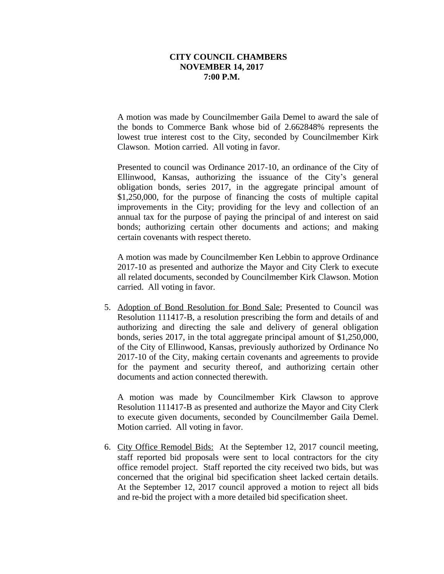A motion was made by Councilmember Gaila Demel to award the sale of the bonds to Commerce Bank whose bid of 2.662848% represents the lowest true interest cost to the City, seconded by Councilmember Kirk Clawson. Motion carried. All voting in favor.

Presented to council was Ordinance 2017-10, an ordinance of the City of Ellinwood, Kansas, authorizing the issuance of the City's general obligation bonds, series 2017, in the aggregate principal amount of \$1,250,000, for the purpose of financing the costs of multiple capital improvements in the City; providing for the levy and collection of an annual tax for the purpose of paying the principal of and interest on said bonds; authorizing certain other documents and actions; and making certain covenants with respect thereto.

A motion was made by Councilmember Ken Lebbin to approve Ordinance 2017-10 as presented and authorize the Mayor and City Clerk to execute all related documents, seconded by Councilmember Kirk Clawson. Motion carried. All voting in favor.

5. Adoption of Bond Resolution for Bond Sale: Presented to Council was Resolution 111417-B, a resolution prescribing the form and details of and authorizing and directing the sale and delivery of general obligation bonds, series 2017, in the total aggregate principal amount of \$1,250,000, of the City of Ellinwood, Kansas, previously authorized by Ordinance No 2017-10 of the City, making certain covenants and agreements to provide for the payment and security thereof, and authorizing certain other documents and action connected therewith.

A motion was made by Councilmember Kirk Clawson to approve Resolution 111417-B as presented and authorize the Mayor and City Clerk to execute given documents, seconded by Councilmember Gaila Demel. Motion carried. All voting in favor.

6. City Office Remodel Bids: At the September 12, 2017 council meeting, staff reported bid proposals were sent to local contractors for the city office remodel project. Staff reported the city received two bids, but was concerned that the original bid specification sheet lacked certain details. At the September 12, 2017 council approved a motion to reject all bids and re-bid the project with a more detailed bid specification sheet.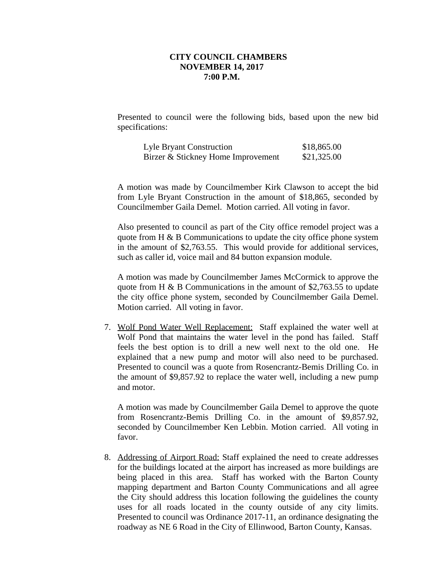Presented to council were the following bids, based upon the new bid specifications:

| Lyle Bryant Construction           | \$18,865.00 |
|------------------------------------|-------------|
| Birzer & Stickney Home Improvement | \$21,325.00 |

A motion was made by Councilmember Kirk Clawson to accept the bid from Lyle Bryant Construction in the amount of \$18,865, seconded by Councilmember Gaila Demel. Motion carried. All voting in favor.

Also presented to council as part of the City office remodel project was a quote from H & B Communications to update the city office phone system in the amount of \$2,763.55. This would provide for additional services, such as caller id, voice mail and 84 button expansion module.

A motion was made by Councilmember James McCormick to approve the quote from H  $\&$  B Communications in the amount of \$2,763.55 to update the city office phone system, seconded by Councilmember Gaila Demel. Motion carried. All voting in favor.

7. Wolf Pond Water Well Replacement: Staff explained the water well at Wolf Pond that maintains the water level in the pond has failed. Staff feels the best option is to drill a new well next to the old one. He explained that a new pump and motor will also need to be purchased. Presented to council was a quote from Rosencrantz-Bemis Drilling Co. in the amount of \$9,857.92 to replace the water well, including a new pump and motor.

A motion was made by Councilmember Gaila Demel to approve the quote from Rosencrantz-Bemis Drilling Co. in the amount of \$9,857.92, seconded by Councilmember Ken Lebbin. Motion carried. All voting in favor.

8. Addressing of Airport Road: Staff explained the need to create addresses for the buildings located at the airport has increased as more buildings are being placed in this area. Staff has worked with the Barton County mapping department and Barton County Communications and all agree the City should address this location following the guidelines the county uses for all roads located in the county outside of any city limits. Presented to council was Ordinance 2017-11, an ordinance designating the roadway as NE 6 Road in the City of Ellinwood, Barton County, Kansas.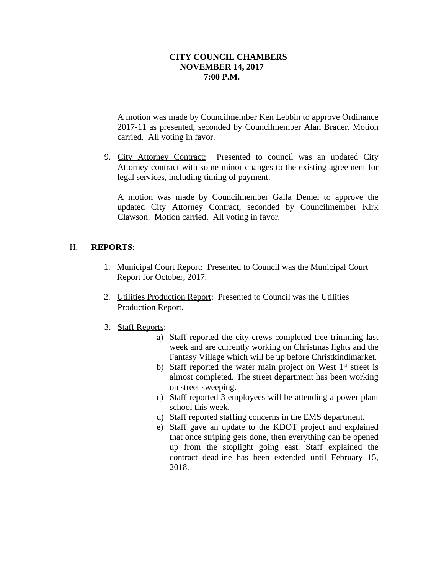A motion was made by Councilmember Ken Lebbin to approve Ordinance 2017-11 as presented, seconded by Councilmember Alan Brauer. Motion carried. All voting in favor.

9. City Attorney Contract: Presented to council was an updated City Attorney contract with some minor changes to the existing agreement for legal services, including timing of payment.

A motion was made by Councilmember Gaila Demel to approve the updated City Attorney Contract, seconded by Councilmember Kirk Clawson. Motion carried. All voting in favor.

# H. **REPORTS**:

- 1. Municipal Court Report: Presented to Council was the Municipal Court Report for October, 2017.
- 2. Utilities Production Report: Presented to Council was the Utilities Production Report.
- 3. Staff Reports:
	- a) Staff reported the city crews completed tree trimming last week and are currently working on Christmas lights and the Fantasy Village which will be up before Christkindlmarket.
	- b) Staff reported the water main project on West 1<sup>st</sup> street is almost completed. The street department has been working on street sweeping.
	- c) Staff reported 3 employees will be attending a power plant school this week.
	- d) Staff reported staffing concerns in the EMS department.
	- e) Staff gave an update to the KDOT project and explained that once striping gets done, then everything can be opened up from the stoplight going east. Staff explained the contract deadline has been extended until February 15, 2018.